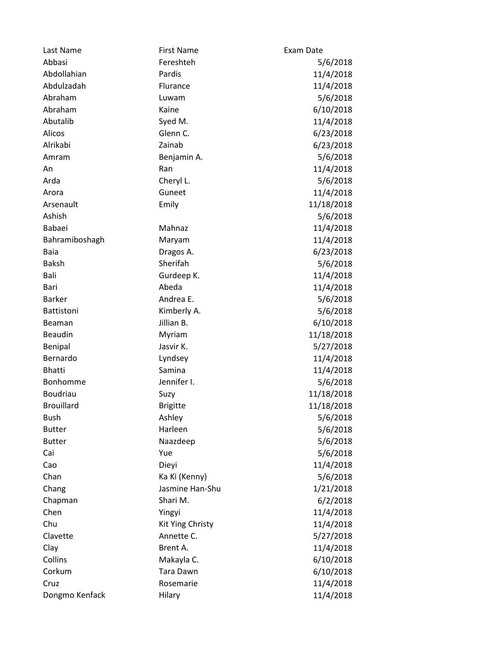| Last Name         | <b>First Name</b> | Exam Date  |
|-------------------|-------------------|------------|
| Abbasi            | Fereshteh         | 5/6/2018   |
| Abdollahian       | Pardis            | 11/4/2018  |
| Abdulzadah        | Flurance          | 11/4/2018  |
| Abraham           | Luwam             | 5/6/2018   |
| Abraham           | Kaine             | 6/10/2018  |
| Abutalib          | Syed M.           | 11/4/2018  |
| Alicos            | Glenn C.          | 6/23/2018  |
| Alrikabi          | Zainab            | 6/23/2018  |
| Amram             | Benjamin A.       | 5/6/2018   |
| An                | Ran               | 11/4/2018  |
| Arda              | Cheryl L.         | 5/6/2018   |
| Arora             | Guneet            | 11/4/2018  |
| Arsenault         | Emily             | 11/18/2018 |
| Ashish            |                   | 5/6/2018   |
| Babaei            | Mahnaz            | 11/4/2018  |
| Bahramiboshagh    | Maryam            | 11/4/2018  |
| Baia              | Dragos A.         | 6/23/2018  |
| <b>Baksh</b>      | Sherifah          | 5/6/2018   |
| Bali              | Gurdeep K.        | 11/4/2018  |
| Bari              | Abeda             | 11/4/2018  |
| <b>Barker</b>     | Andrea E.         | 5/6/2018   |
| Battistoni        | Kimberly A.       | 5/6/2018   |
| Beaman            | Jillian B.        | 6/10/2018  |
| <b>Beaudin</b>    | Myriam            | 11/18/2018 |
| Benipal           | Jasvir K.         | 5/27/2018  |
| Bernardo          | Lyndsey           | 11/4/2018  |
| <b>Bhatti</b>     | Samina            | 11/4/2018  |
| Bonhomme          | Jennifer I.       | 5/6/2018   |
| Boudriau          | Suzy              | 11/18/2018 |
| <b>Brouillard</b> | <b>Brigitte</b>   | 11/18/2018 |
| Bush              | Ashley            | 5/6/2018   |
| <b>Butter</b>     | Harleen           | 5/6/2018   |
| <b>Butter</b>     | Naazdeep          | 5/6/2018   |
| Cai               | Yue               | 5/6/2018   |
| Cao               | Dieyi             | 11/4/2018  |
| Chan              | Ka Ki (Kenny)     | 5/6/2018   |
| Chang             | Jasmine Han-Shu   | 1/21/2018  |
| Chapman           | Shari M.          | 6/2/2018   |
| Chen              | Yingyi            | 11/4/2018  |
| Chu               | Kit Ying Christy  | 11/4/2018  |
| Clavette          | Annette C.        | 5/27/2018  |
| Clay              | Brent A.          | 11/4/2018  |
| Collins           | Makayla C.        | 6/10/2018  |
| Corkum            | <b>Tara Dawn</b>  | 6/10/2018  |
| Cruz              | Rosemarie         | 11/4/2018  |
| Dongmo Kenfack    | Hilary            | 11/4/2018  |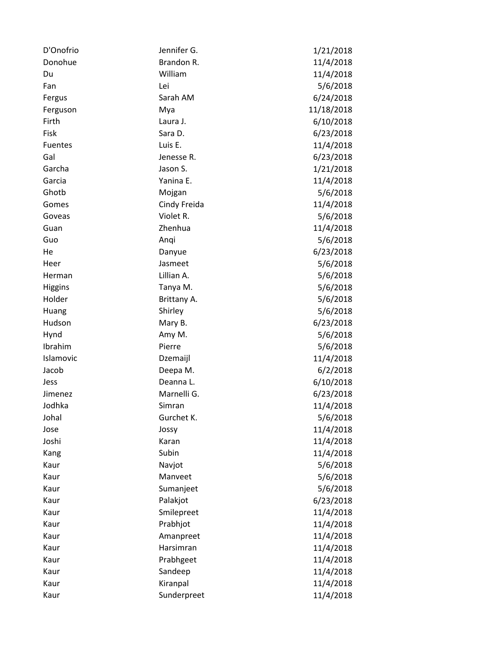| D'Onofrio      | Jennifer G.  | 1/21/2018  |
|----------------|--------------|------------|
| Donohue        | Brandon R.   | 11/4/2018  |
| Du             | William      | 11/4/2018  |
| Fan            | Lei          | 5/6/2018   |
| Fergus         | Sarah AM     | 6/24/2018  |
| Ferguson       | Mya          | 11/18/2018 |
| Firth          | Laura J.     | 6/10/2018  |
| Fisk           | Sara D.      | 6/23/2018  |
| Fuentes        | Luis E.      | 11/4/2018  |
| Gal            | Jenesse R.   | 6/23/2018  |
| Garcha         | Jason S.     | 1/21/2018  |
| Garcia         | Yanina E.    | 11/4/2018  |
| Ghotb          | Mojgan       | 5/6/2018   |
| Gomes          | Cindy Freida | 11/4/2018  |
| Goveas         | Violet R.    | 5/6/2018   |
| Guan           | Zhenhua      | 11/4/2018  |
| Guo            | Anqi         | 5/6/2018   |
| He             | Danyue       | 6/23/2018  |
| Heer           | Jasmeet      | 5/6/2018   |
| Herman         | Lillian A.   | 5/6/2018   |
| <b>Higgins</b> | Tanya M.     | 5/6/2018   |
| Holder         | Brittany A.  | 5/6/2018   |
| Huang          | Shirley      | 5/6/2018   |
| Hudson         | Mary B.      | 6/23/2018  |
| Hynd           | Amy M.       | 5/6/2018   |
| Ibrahim        | Pierre       | 5/6/2018   |
| Islamovic      | Dzemaijl     | 11/4/2018  |
| Jacob          | Deepa M.     | 6/2/2018   |
| Jess           | Deanna L.    | 6/10/2018  |
| Jimenez        | Marnelli G.  | 6/23/2018  |
| Jodhka         | Simran       | 11/4/2018  |
| Johal          | Gurchet K.   | 5/6/2018   |
| Jose           | Jossy        | 11/4/2018  |
| Joshi          | Karan        | 11/4/2018  |
| Kang           | Subin        | 11/4/2018  |
| Kaur           | Navjot       | 5/6/2018   |
| Kaur           | Manveet      | 5/6/2018   |
| Kaur           | Sumanjeet    | 5/6/2018   |
| Kaur           | Palakjot     | 6/23/2018  |
| Kaur           | Smilepreet   | 11/4/2018  |
| Kaur           | Prabhjot     | 11/4/2018  |
| Kaur           | Amanpreet    | 11/4/2018  |
| Kaur           | Harsimran    | 11/4/2018  |
| Kaur           | Prabhgeet    | 11/4/2018  |
| Kaur           | Sandeep      | 11/4/2018  |
| Kaur           | Kiranpal     | 11/4/2018  |
| Kaur           | Sunderpreet  | 11/4/2018  |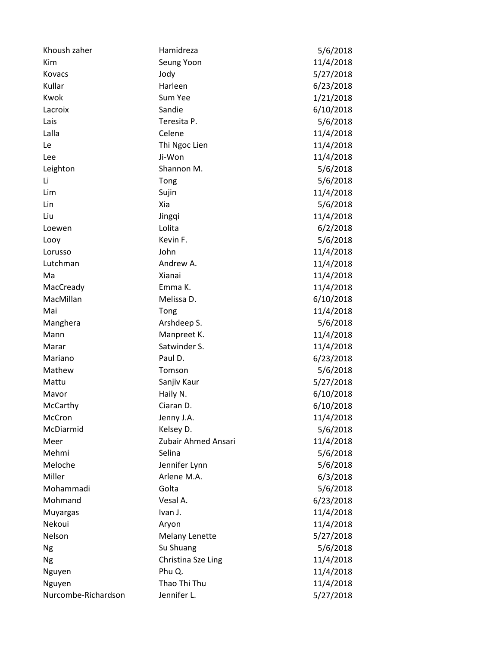| Khoush zaher        | Hamidreza             | 5/6/2018  |
|---------------------|-----------------------|-----------|
| Kim                 | Seung Yoon            | 11/4/2018 |
| Kovacs              | Jody                  | 5/27/2018 |
| Kullar              | Harleen               | 6/23/2018 |
| Kwok                | Sum Yee               | 1/21/2018 |
| Lacroix             | Sandie                | 6/10/2018 |
| Lais                | Teresita P.           | 5/6/2018  |
| Lalla               | Celene                | 11/4/2018 |
| Le                  | Thi Ngoc Lien         | 11/4/2018 |
| Lee                 | Ji-Won                | 11/4/2018 |
| Leighton            | Shannon M.            | 5/6/2018  |
| Li                  | Tong                  | 5/6/2018  |
| Lim                 | Sujin                 | 11/4/2018 |
| Lin                 | Xia                   | 5/6/2018  |
| Liu                 | Jingqi                | 11/4/2018 |
| Loewen              | Lolita                | 6/2/2018  |
| Looy                | Kevin F.              | 5/6/2018  |
| Lorusso             | John                  | 11/4/2018 |
| Lutchman            | Andrew A.             | 11/4/2018 |
| Ma                  | Xianai                | 11/4/2018 |
| MacCready           | Emma K.               | 11/4/2018 |
| MacMillan           | Melissa D.            | 6/10/2018 |
| Mai                 | Tong                  | 11/4/2018 |
| Manghera            | Arshdeep S.           | 5/6/2018  |
| Mann                | Manpreet K.           | 11/4/2018 |
| Marar               | Satwinder S.          | 11/4/2018 |
| Mariano             | Paul D.               | 6/23/2018 |
| Mathew              | Tomson                | 5/6/2018  |
| Mattu               | Sanjiv Kaur           | 5/27/2018 |
| Mavor               | Haily N.              | 6/10/2018 |
| McCarthy            | Ciaran D.             | 6/10/2018 |
| McCron              | Jenny J.A.            | 11/4/2018 |
| McDiarmid           | Kelsey D.             | 5/6/2018  |
| Meer                | Zubair Ahmed Ansari   | 11/4/2018 |
| Mehmi               | Selina                | 5/6/2018  |
| Meloche             | Jennifer Lynn         | 5/6/2018  |
| Miller              | Arlene M.A.           | 6/3/2018  |
| Mohammadi           | Golta                 | 5/6/2018  |
| Mohmand             | Vesal A.              | 6/23/2018 |
| Muyargas            | Ivan J.               | 11/4/2018 |
| Nekoui              | Aryon                 | 11/4/2018 |
| Nelson              | <b>Melany Lenette</b> | 5/27/2018 |
| Ng                  | Su Shuang             | 5/6/2018  |
| Ng                  | Christina Sze Ling    | 11/4/2018 |
| Nguyen              | Phu Q.                | 11/4/2018 |
| Nguyen              | Thao Thi Thu          | 11/4/2018 |
| Nurcombe-Richardson | Jennifer L.           | 5/27/2018 |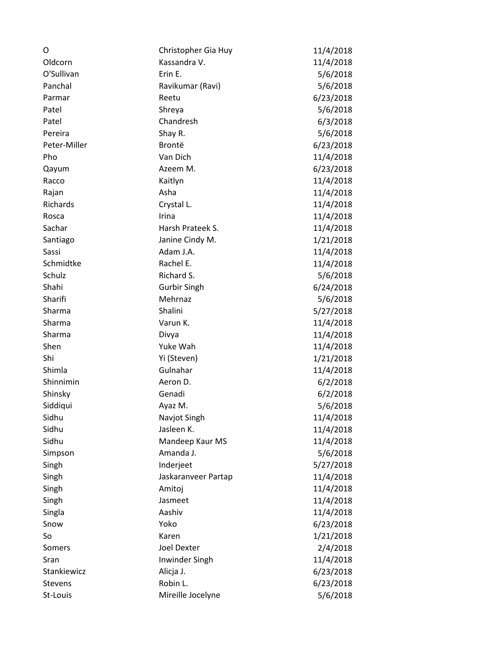| O              | Christopher Gia Huy | 11/4/2018 |
|----------------|---------------------|-----------|
| Oldcorn        | Kassandra V.        | 11/4/2018 |
| O'Sullivan     | Erin E.             | 5/6/2018  |
| Panchal        | Ravikumar (Ravi)    | 5/6/2018  |
| Parmar         | Reetu               | 6/23/2018 |
| Patel          | Shreya              | 5/6/2018  |
| Patel          | Chandresh           | 6/3/2018  |
| Pereira        | Shay R.             | 5/6/2018  |
| Peter-Miller   | Brontë              | 6/23/2018 |
| Pho            | Van Dich            | 11/4/2018 |
| Qayum          | Azeem M.            | 6/23/2018 |
| Racco          | Kaitlyn             | 11/4/2018 |
| Rajan          | Asha                | 11/4/2018 |
| Richards       | Crystal L.          | 11/4/2018 |
| Rosca          | Irina               | 11/4/2018 |
| Sachar         | Harsh Prateek S.    | 11/4/2018 |
| Santiago       | Janine Cindy M.     | 1/21/2018 |
| Sassi          | Adam J.A.           | 11/4/2018 |
| Schmidtke      | Rachel E.           | 11/4/2018 |
| Schulz         | Richard S.          | 5/6/2018  |
| Shahi          | <b>Gurbir Singh</b> | 6/24/2018 |
| Sharifi        | Mehrnaz             | 5/6/2018  |
| Sharma         | Shalini             | 5/27/2018 |
| Sharma         | Varun K.            | 11/4/2018 |
| Sharma         | Divya               | 11/4/2018 |
| Shen           | Yuke Wah            | 11/4/2018 |
| Shi            | Yi (Steven)         | 1/21/2018 |
| Shimla         | Gulnahar            | 11/4/2018 |
| Shinnimin      | Aeron D.            | 6/2/2018  |
| Shinsky        | Genadi              | 6/2/2018  |
| Siddiqui       | Ayaz M.             | 5/6/2018  |
| Sidhu          | Navjot Singh        | 11/4/2018 |
| Sidhu          | Jasleen K.          | 11/4/2018 |
| Sidhu          | Mandeep Kaur MS     | 11/4/2018 |
| Simpson        | Amanda J.           | 5/6/2018  |
| Singh          | Inderjeet           | 5/27/2018 |
| Singh          | Jaskaranveer Partap | 11/4/2018 |
| Singh          | Amitoj              | 11/4/2018 |
| Singh          | Jasmeet             | 11/4/2018 |
| Singla         | Aashiv              | 11/4/2018 |
| Snow           | Yoko                | 6/23/2018 |
| So             | Karen               | 1/21/2018 |
| Somers         | <b>Joel Dexter</b>  | 2/4/2018  |
| Sran           | Inwinder Singh      | 11/4/2018 |
| Stankiewicz    | Alicja J.           | 6/23/2018 |
| <b>Stevens</b> | Robin L.            | 6/23/2018 |
| St-Louis       | Mireille Jocelyne   | 5/6/2018  |
|                |                     |           |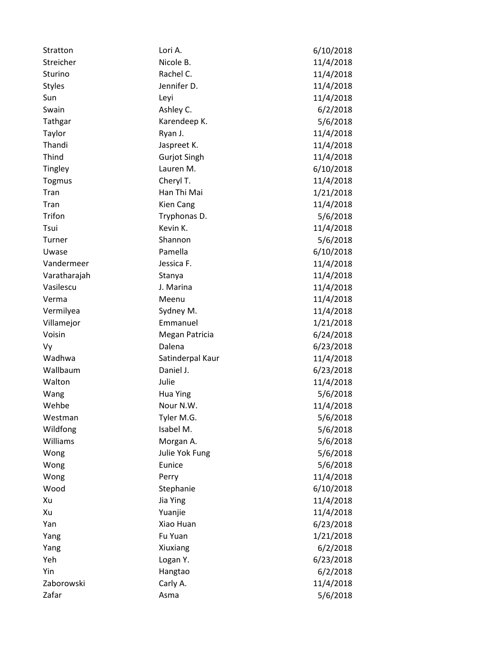| Stratton      | Lori A.             | 6/10/2018 |
|---------------|---------------------|-----------|
| Streicher     | Nicole B.           | 11/4/2018 |
| Sturino       | Rachel C.           | 11/4/2018 |
| <b>Styles</b> | Jennifer D.         | 11/4/2018 |
| Sun           | Leyi                | 11/4/2018 |
| Swain         | Ashley C.           | 6/2/2018  |
| Tathgar       | Karendeep K.        | 5/6/2018  |
| Taylor        | Ryan J.             | 11/4/2018 |
| Thandi        | Jaspreet K.         | 11/4/2018 |
| Thind         | <b>Gurjot Singh</b> | 11/4/2018 |
| Tingley       | Lauren M.           | 6/10/2018 |
| <b>Togmus</b> | Cheryl T.           | 11/4/2018 |
| Tran          | Han Thi Mai         | 1/21/2018 |
| Tran          | <b>Kien Cang</b>    | 11/4/2018 |
| Trifon        | Tryphonas D.        | 5/6/2018  |
| Tsui          | Kevin K.            | 11/4/2018 |
| Turner        | Shannon             | 5/6/2018  |
| Uwase         | Pamella             | 6/10/2018 |
| Vandermeer    | Jessica F.          | 11/4/2018 |
| Varatharajah  | Stanya              | 11/4/2018 |
| Vasilescu     | J. Marina           | 11/4/2018 |
| Verma         | Meenu               | 11/4/2018 |
| Vermilyea     | Sydney M.           | 11/4/2018 |
| Villamejor    | Emmanuel            | 1/21/2018 |
| Voisin        | Megan Patricia      | 6/24/2018 |
| Vy            | Dalena              | 6/23/2018 |
| Wadhwa        | Satinderpal Kaur    | 11/4/2018 |
| Wallbaum      | Daniel J.           | 6/23/2018 |
| Walton        | Julie               | 11/4/2018 |
| Wang          | <b>Hua Ying</b>     | 5/6/2018  |
| Wehbe         | Nour N.W.           | 11/4/2018 |
| Westman       | Tyler M.G.          | 5/6/2018  |
| Wildfong      | Isabel M.           | 5/6/2018  |
| Williams      | Morgan A.           | 5/6/2018  |
| Wong          | Julie Yok Fung      | 5/6/2018  |
| Wong          | Eunice              | 5/6/2018  |
| Wong          | Perry               | 11/4/2018 |
| Wood          | Stephanie           | 6/10/2018 |
| Xu            | Jia Ying            | 11/4/2018 |
| Xu            | Yuanjie             | 11/4/2018 |
| Yan           | Xiao Huan           | 6/23/2018 |
| Yang          | Fu Yuan             | 1/21/2018 |
| Yang          | Xiuxiang            | 6/2/2018  |
| Yeh           | Logan Y.            | 6/23/2018 |
| Yin           | Hangtao             | 6/2/2018  |
| Zaborowski    | Carly A.            | 11/4/2018 |
| Zafar         | Asma                | 5/6/2018  |